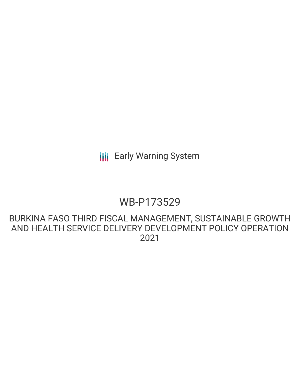**III** Early Warning System

## WB-P173529

## BURKINA FASO THIRD FISCAL MANAGEMENT, SUSTAINABLE GROWTH AND HEALTH SERVICE DELIVERY DEVELOPMENT POLICY OPERATION 2021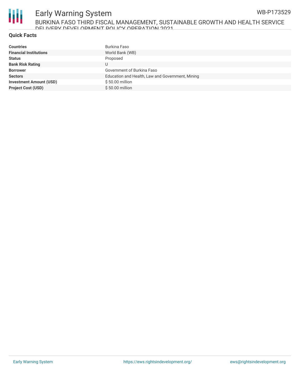

# Early Warning System

BURKINA FASO THIRD FISCAL MANAGEMENT, SUSTAINABLE GROWTH AND HEALTH SERVICE DELIVERY DEVELOPMENT POLICY OPERATION 2021

#### **Quick Facts**

| <b>Countries</b>               | Burkina Faso                                     |
|--------------------------------|--------------------------------------------------|
| <b>Financial Institutions</b>  | World Bank (WB)                                  |
| <b>Status</b>                  | Proposed                                         |
| <b>Bank Risk Rating</b>        | U                                                |
| <b>Borrower</b>                | Government of Burkina Faso                       |
| <b>Sectors</b>                 | Education and Health, Law and Government, Mining |
| <b>Investment Amount (USD)</b> | \$50.00 million                                  |
| <b>Project Cost (USD)</b>      | $$50.00$ million                                 |

WB-P173529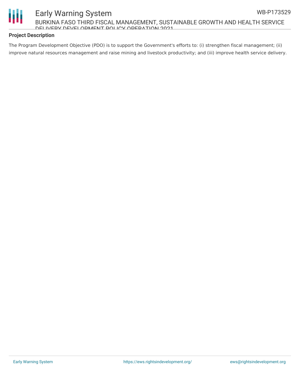



#### Early Warning System BURKINA FASO THIRD FISCAL MANAGEMENT, SUSTAINABLE GROWTH AND HEALTH SERVICE DELIVERY DEVELOPMENT POLICY OPERATION 2021

#### **Project Description**

The Program Development Objective (PDO) is to support the Government's efforts to: (i) strengthen fiscal management; (ii) improve natural resources management and raise mining and livestock productivity; and (iii) improve health service delivery.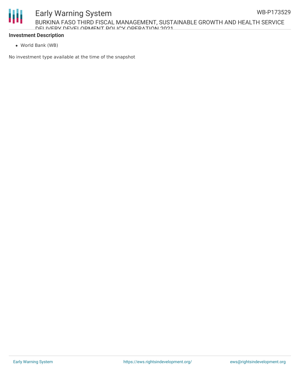#### **Investment Description**

World Bank (WB)

No investment type available at the time of the snapshot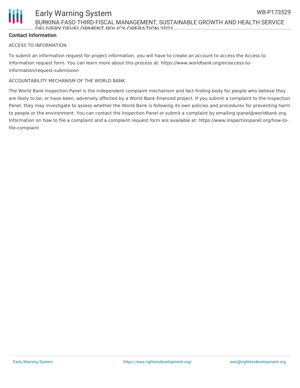#### **Contact Information**

#### ACCESS TO INFORMATION

To submit an information request for project information, you will have to create an account to access the Access to Information request form. You can learn more about this process at: https://www.worldbank.org/en/access-toinformation/request-submission

#### ACCOUNTABILITY MECHANISM OF THE WORLD BANK

The World Bank Inspection Panel is the independent complaint mechanism and fact-finding body for people who believe they are likely to be, or have been, adversely affected by a World Bank-financed project. If you submit a complaint to the Inspection Panel, they may investigate to assess whether the World Bank is following its own policies and procedures for preventing harm to people or the environment. You can contact the Inspection Panel or submit a complaint by emailing ipanel@worldbank.org. Information on how to file a complaint and a complaint request form are available at: https://www.inspectionpanel.org/how-tofile-complaint